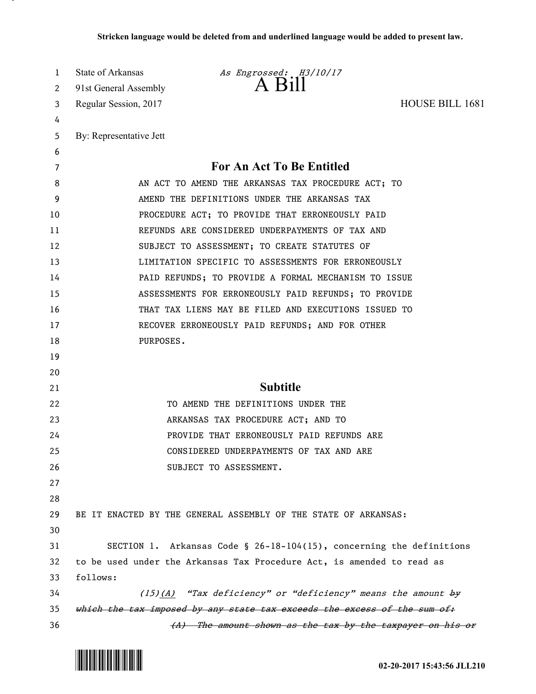| 1  | State of Arkansas<br>As Engrossed: H3/10/17                              |  |
|----|--------------------------------------------------------------------------|--|
| 2  | A Bill<br>91st General Assembly                                          |  |
| 3  | <b>HOUSE BILL 1681</b><br>Regular Session, 2017                          |  |
| 4  |                                                                          |  |
| 5  | By: Representative Jett                                                  |  |
| 6  |                                                                          |  |
| 7  | For An Act To Be Entitled                                                |  |
| 8  | AN ACT TO AMEND THE ARKANSAS TAX PROCEDURE ACT; TO                       |  |
| 9  | AMEND THE DEFINITIONS UNDER THE ARKANSAS TAX                             |  |
| 10 | PROCEDURE ACT; TO PROVIDE THAT ERRONEOUSLY PAID                          |  |
| 11 | REFUNDS ARE CONSIDERED UNDERPAYMENTS OF TAX AND                          |  |
| 12 | SUBJECT TO ASSESSMENT; TO CREATE STATUTES OF                             |  |
| 13 | LIMITATION SPECIFIC TO ASSESSMENTS FOR ERRONEOUSLY                       |  |
| 14 | PAID REFUNDS; TO PROVIDE A FORMAL MECHANISM TO ISSUE                     |  |
| 15 | ASSESSMENTS FOR ERRONEOUSLY PAID REFUNDS; TO PROVIDE                     |  |
| 16 | THAT TAX LIENS MAY BE FILED AND EXECUTIONS ISSUED TO                     |  |
| 17 | RECOVER ERRONEOUSLY PAID REFUNDS; AND FOR OTHER                          |  |
| 18 | PURPOSES.                                                                |  |
| 19 |                                                                          |  |
| 20 |                                                                          |  |
| 21 | <b>Subtitle</b>                                                          |  |
| 22 | TO AMEND THE DEFINITIONS UNDER THE                                       |  |
| 23 | ARKANSAS TAX PROCEDURE ACT; AND TO                                       |  |
| 24 | PROVIDE THAT ERRONEOUSLY PAID REFUNDS ARE                                |  |
| 25 | CONSIDERED UNDERPAYMENTS OF TAX AND ARE                                  |  |
| 26 | SUBJECT TO ASSESSMENT.                                                   |  |
| 27 |                                                                          |  |
| 28 |                                                                          |  |
| 29 | BE IT ENACTED BY THE GENERAL ASSEMBLY OF THE STATE OF ARKANSAS:          |  |
| 30 |                                                                          |  |
| 31 | SECTION 1. Arkansas Code § 26-18-104(15), concerning the definitions     |  |
| 32 | to be used under the Arkansas Tax Procedure Act, is amended to read as   |  |
| 33 | follows:                                                                 |  |
| 34 | $(15)(A)$ "Tax deficiency" or "deficiency" means the amount by           |  |
| 35 | which the tax imposed by any state tax exceeds the excess of the sum of: |  |
| 36 | (A) The amount shown as the tax by the taxpayer on his or                |  |



л.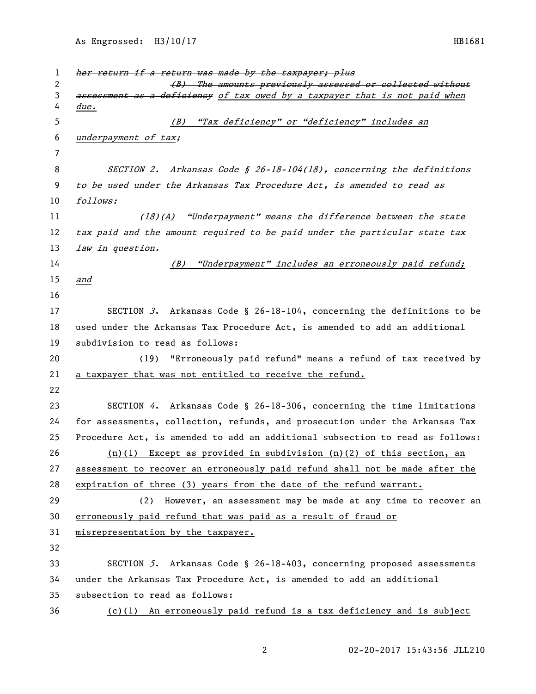As Engrossed: H3/10/17 HB1681

1 her return if a return was made by the taxpayer; plus 2 (B) The amounts previously assessed or collected without 3 assessment as a deficieney of tax owed by a taxpayer that is not paid when due. (B) "Tax deficiency" or "deficiency" includes an underpayment of tax; SECTION 2. Arkansas Code § 26-18-104(18), concerning the definitions to be used under the Arkansas Tax Procedure Act, is amended to read as follows: (18)(A) "Underpayment" means the difference between the state 12 tax paid and the amount required to be paid under the particular state tax 13 law in question. (B) "Underpayment" includes an erroneously paid refund; and SECTION 3. Arkansas Code § 26-18-104, concerning the definitions to be used under the Arkansas Tax Procedure Act, is amended to add an additional subdivision to read as follows: (19) "Erroneously paid refund" means a refund of tax received by a taxpayer that was not entitled to receive the refund. SECTION 4. Arkansas Code § 26-18-306, concerning the time limitations for assessments, collection, refunds, and prosecution under the Arkansas Tax Procedure Act, is amended to add an additional subsection to read as follows: (n)(1) Except as provided in subdivision (n)(2) of this section, an assessment to recover an erroneously paid refund shall not be made after the expiration of three (3) years from the date of the refund warrant. (2) However, an assessment may be made at any time to recover an erroneously paid refund that was paid as a result of fraud or 31 misrepresentation by the taxpayer. SECTION 5. Arkansas Code § 26-18-403, concerning proposed assessments under the Arkansas Tax Procedure Act, is amended to add an additional subsection to read as follows: (c)(1) An erroneously paid refund is a tax deficiency and is subject

02-20-2017 15:43:56 JLL210